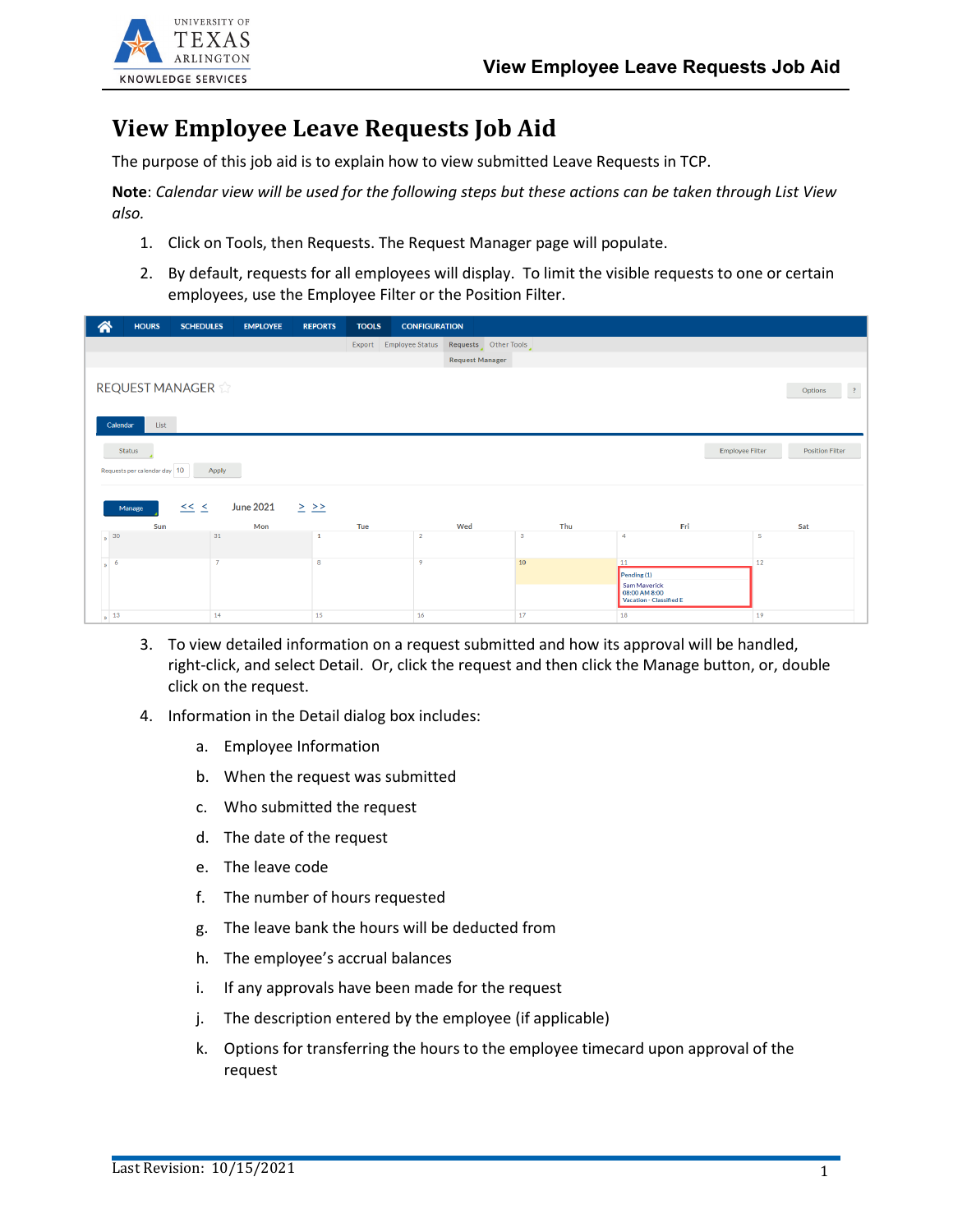

## **View Employee Leave Requests Job Aid**

The purpose of this job aid is to explain how to view submitted Leave Requests in TCP.

**Note**: *Calendar view will be used for the following steps but these actions can be taken through List View also.*

- 1. Click on Tools, then Requests. The Request Manager page will populate.
- 2. By default, requests for all employees will display. To limit the visible requests to one or certain employees, use the Employee Filter or the Position Filter.

| 谷                                                            | <b>HOURS</b>                                                               | <b>SCHEDULES</b> | <b>EMPLOYEE</b> | <b>REPORTS</b> | <b>TOOLS</b> | <b>CONFIGURATION</b>   |                      |          |                                                                                      |    |                        |  |
|--------------------------------------------------------------|----------------------------------------------------------------------------|------------------|-----------------|----------------|--------------|------------------------|----------------------|----------|--------------------------------------------------------------------------------------|----|------------------------|--|
|                                                              |                                                                            |                  |                 |                |              | Export Employee Status | Requests Other Tools |          |                                                                                      |    |                        |  |
| <b>Request Manager</b>                                       |                                                                            |                  |                 |                |              |                        |                      |          |                                                                                      |    |                        |  |
|                                                              | REQUEST MANAGER<br>$\overline{\mathcal{L}}$<br>Options<br>List<br>Calendar |                  |                 |                |              |                        |                      |          |                                                                                      |    |                        |  |
|                                                              | <b>Employee Filter</b><br>Status<br>Requests per calendar day 10<br>Apply  |                  |                 |                |              |                        |                      |          |                                                                                      |    | <b>Position Filter</b> |  |
| <b>June 2021</b><br>$\leq$ $\leq$<br>$\geq$ $\geq$<br>Manage |                                                                            |                  |                 |                |              |                        |                      |          |                                                                                      |    |                        |  |
|                                                              | Sun<br>$\frac{1}{2}$ 30                                                    | 31               | Mon             |                | Tue          | $\overline{2}$         | Wed                  | Thu<br>3 | Fri<br>4                                                                             | -5 | Sat                    |  |
|                                                              |                                                                            |                  |                 |                |              |                        |                      |          |                                                                                      |    |                        |  |
| $\frac{1}{2}$ 6                                              |                                                                            | $\overline{7}$   |                 | 8              |              | 9                      |                      | 10       | 11<br>Pending (1)<br>Sam Maverick<br>08:00 AM 8:00<br><b>Vacation - Classified E</b> | 12 |                        |  |
|                                                              | $\frac{1}{2}$ 13                                                           | 14               |                 | 15             |              | 16                     |                      | 17       | 18                                                                                   | 19 |                        |  |

- 3. To view detailed information on a request submitted and how its approval will be handled, right-click, and select Detail. Or, click the request and then click the Manage button, or, double click on the request.
- 4. Information in the Detail dialog box includes:
	- a. Employee Information
	- b. When the request was submitted
	- c. Who submitted the request
	- d. The date of the request
	- e. The leave code
	- f. The number of hours requested
	- g. The leave bank the hours will be deducted from
	- h. The employee's accrual balances
	- i. If any approvals have been made for the request
	- j. The description entered by the employee (if applicable)
	- k. Options for transferring the hours to the employee timecard upon approval of the request